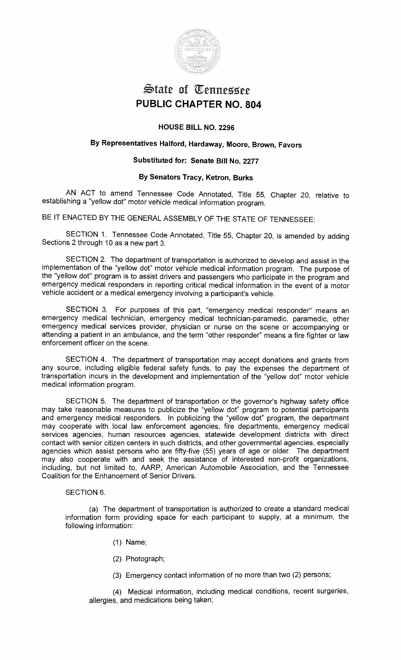

# State of Tennessee **PUBLIC CHAPTER NO. 804**

## **HOUSE BILL NO. 2296**

## **By Representatives Halford, Hardaway, Moore, Brown, Favors**

## **Substituted for: Senate Bill No. 2277**

## **By Senators Tracy, Ketron, Burks**

AN ACT to amend Tennessee Code Annotated, Title 55, Chapter 20, relative to establishing a "yellow dot" motor vehicle medical information program.

BE IT ENACTED BY THE GENERAL ASSEMBLY OF THE STATE OF TENNESSEE:

SECTION 1. Tennessee Code Annotated, Title 55, Chapter 20, is amended by adding Sections 2 through 10 as a new part 3.

SECTION 2. The department of transportation is authorized to develop and assist in the implementation of the "yellow dot" motor vehicle medical information program. The purpose of the "yellow dot" program is to assist drivers and passengers who participate in the program and emergency medical responders in reporting critical medical information in the event of a motor vehicle accident or a medical emergency involving a participant's vehicle.

SECTION 3. For purposes of this part, "emergency medical responder" means an emergency medical technician, emergency medical technician-paramedic, paramedic, other emergency medical services provider, physician or nurse on the scene or accompanying or attending a patient in an ambulance, and the term "other responder" means a fire fighter or law enforcement officer on the scene.

SECTION 4. The department of transportation may accept donations and grants from any source, including eligible federal safety funds, to pay the expenses the department of transportation incurs in the development and implementation of the "yellow dot" motor vehicle medical information program.

SECTION 5. The department of transportation or the governor's highway safety office may take reasonable measures to publicize the "yellow dot" program to potential participants and emergency medical responders. In publicizing the "yellow dot" program, the department may cooperate with local law enforcement agencies, fire departments, emergency medical services agencies, human resources agencies, statewide development districts with direct contact with senior citizen centers in such districts, and other governmental agencies, especially agencies which assist persons who are fifty-five (55) years of age or older. The department may also cooperate with and seek the assistance of interested non-profit organizations, including, but not limited to, AARP, American Automobile Association, and the Tennessee Coalition for the Enhancement of Senior Drivers.

## SECTION 6.

(a) The department of transportation is authorized to create a standard medical information form providing space for each participant to supply, at a minimum, the following information:

- (1) Name;
- (2) Photograph;
- (3) Emergency contact information of no more than two (2) persons;

(4) Medical information, including medical conditions, recent surgeries, allergies, and medications being taken;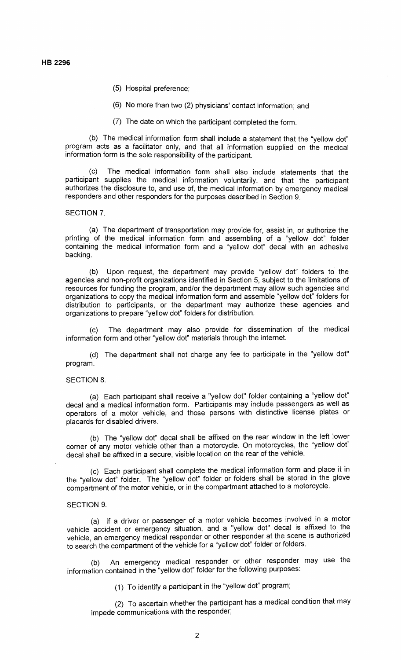- (5) Hospital preference;
- (6) No more than two (2) physicians' contact information; and
- (7) The date on which the participant completed the form.

(b) The medical information form shall include a statement that the "yellow dot" program acts as a facilitator only, and that all information supplied on the medical information form is the sole responsibility of the participant.

(c) The medical information form shall also include statements that the participant supplies the medical information voluntarily, and that the participant authorizes the disclosure to, and use of, the medical information by emergency medical responders and other responders for the purposes described in Section 9.

## SECTION 7.

(a) The department of transportation may provide for, assist in, or authorize the printing of the medical information form and assembling of a "yellow dot" folder containing the medical information form and a "yellow dot" decal with an adhesive backing.

(b) Upon request, the department may provide "yellow dot" folders to the agencies and non-profit organizations identified in Section 5, subject to the limitations of resources for funding the program, and/or the department may allow such agencies and organizations to copy the medical information form and assemble "yellow dot" folders for distribution to participants, or the department may authorize these agencies and organizations to prepare "yellow dot" folders for distribution.

(c) The department may also provide for dissemination of the medical information form and other "yellow dot" materials through the internet.

(d) The department shall not charge any fee to participate in the "yellow dot" program.

#### SECTION 8.

(a) Each participant shall receive a "yellow dot" folder containing a "yellow dot" decal and a medical information form. Participants may include passengers as well as operators of a motor vehicle, and those persons with distinctive license plates or placards for disabled drivers.

(b) The "yellow dot" decal shall be affixed on the rear window in the left lower corner of any motor vehicle other than a motorcycle. On motorcycles, the "yellow dot" decal shall be affixed in a secure, visible location on the rear of the vehicle.

(c) Each participant shall complete the medical information form and place it in the "yellow dot" folder. The "yellow dot" folder or folders shall be stored in the glove compartment of the motor vehicle, or in the compartment attached to a motorcycle.

## SECTION 9.

(a) If a driver or passenger of a motor vehicle becomes involved in a motor vehicle accident or emergency situation, and a "yellow dot" decal is affixed to the vehicle, an emergency medical responder or other responder at the scene is authorized to search the compartment of the vehicle for a "yellow dot" folder or folders.

(b) An emergency medical responder or other responder may use the information contained in the "yellow dot" folder for the following purposes:

(1) To identify a participant in the "yellow dot" program;

(2) To ascertain whether the participant has a medical condition that may impede communications with the responder;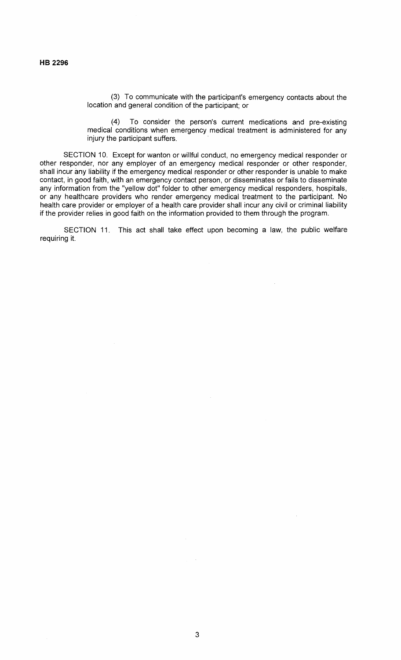(3) To communicate with the participant's emergency contacts about the location and general condition of the participant; or

(4) To consider the person's current medications and pre-existing medical conditions when emergency medical treatment is administered for any injury the participant suffers.

SECTION 10. Except for wanton or willful conduct, no emergency medical responder or other responder, nor any employer of an emergency medical responder or other responder, shall incur any liability if the emergency medical responder or other responder is unable to make contact, in good faith, with an emergency contact person, or disseminates or fails to disseminate any information from the "yellow dot" folder to other emergency medical responders, hospitals, or any healthcare providers who render emergency medical treatment to the participant. No health care provider or employer of a health care provider shall incur any civil or criminal liability if the provider relies in good faith on the information provided to them through the program.

SECTION 11. This act shall take effect upon becoming a law, the public welfare requiring it.